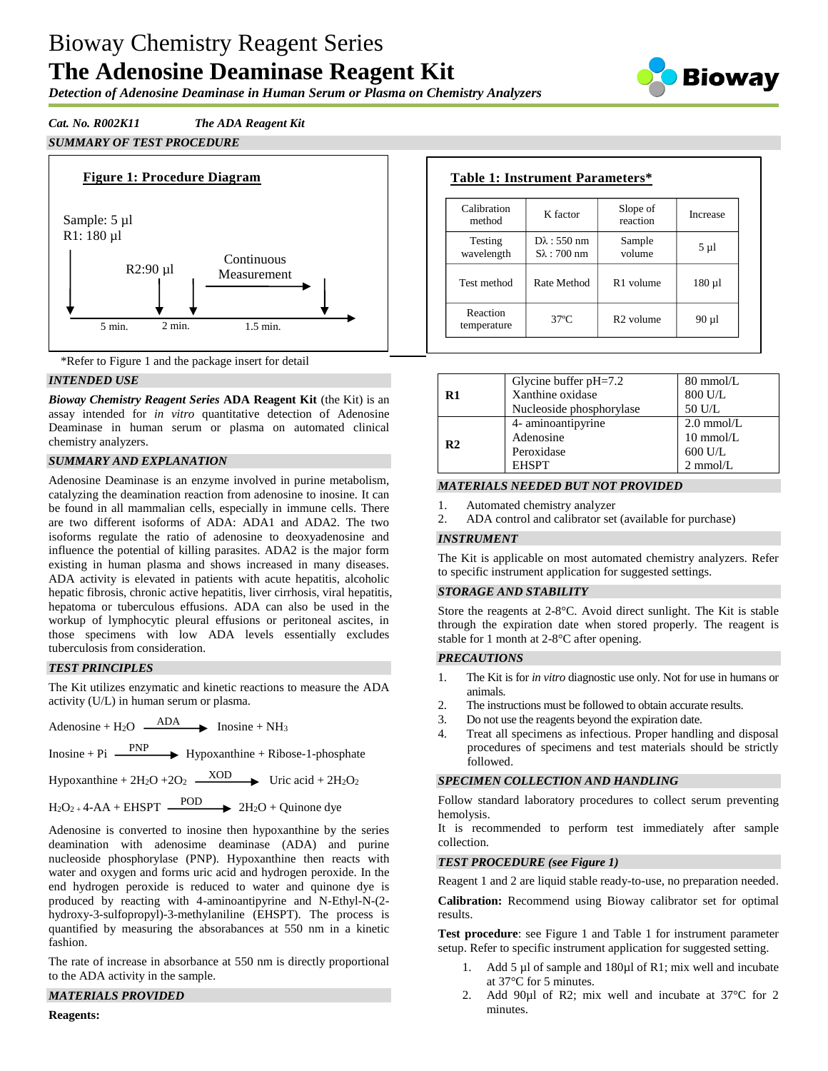# Bioway Chemistry Reagent Series **The Adenosine Deaminase Reagent Kit**

*Detection of Adenosine Deaminase in Human Serum or Plasma on Chemistry Analyzers*

*Cat. No. R002K11 The ADA Reagent Kit SUMMARY OF TEST PROCEDURE*





# *INTENDED USE*

*Bioway Chemistry Reagent Series* **ADA Reagent Kit** (the Kit) is an assay intended for *in vitro* quantitative detection of Adenosine Deaminase in human serum or plasma on automated clinical chemistry analyzers.

# *SUMMARY AND EXPLANATION*

Adenosine Deaminase is an enzyme involved in purine metabolism, catalyzing the deamination reaction from adenosine to inosine. It can be found in all mammalian cells, especially in immune cells. There are two different isoforms of ADA: ADA1 and ADA2. The two isoforms regulate the ratio of adenosine to deoxyadenosine and influence the potential of killing parasites. ADA2 is the major form existing in human plasma and shows increased in many diseases. ADA activity is elevated in patients with acute hepatitis, alcoholic hepatic fibrosis, chronic active hepatitis, liver cirrhosis, viral hepatitis, hepatoma or tuberculous effusions. ADA can also be used in the workup of lymphocytic pleural effusions or peritoneal ascites, in those specimens with low ADA levels essentially excludes tuberculosis from consideration.

# *TEST PRINCIPLES*

The Kit utilizes enzymatic and kinetic reactions to measure the ADA activity (U/L) in human serum or plasma.

Adenosine + H<sub>2</sub>O  $\overrightarrow{ADA}$  Inosine + NH<sub>3</sub>

 $Inosine + Pi \longrightarrow Hypoxanthine + Ribose-1-phosphate$ 

Hypoxanthine +  $2H_2O$  +2O<sub>2</sub>  $\longrightarrow$  Uric acid +  $2H_2O_2$ 

 $H_2O_2 + 4-AA + EHSPT$   $\longrightarrow$   $2H_2O + Quinone$  dye

Adenosine is converted to inosine then hypoxanthine by the series deamination with adenosime deaminase (ADA) and purine nucleoside phosphorylase (PNP). Hypoxanthine then reacts with water and oxygen and forms uric acid and hydrogen peroxide. In the end hydrogen peroxide is reduced to water and quinone dye is produced by reacting with 4-aminoantipyrine and N-Ethyl-N-(2 hydroxy-3-sulfopropyl)-3-methylaniline (EHSPT). The process is quantified by measuring the absorabances at 550 nm in a kinetic fashion.

The rate of increase in absorbance at 550 nm is directly proportional to the ADA activity in the sample.

# *MATERIALS PROVIDED*

| <b>Table 1: Instrument Parameters*</b> |                                            |                       |           |  |
|----------------------------------------|--------------------------------------------|-----------------------|-----------|--|
| Calibration<br>method                  | K factor                                   | Slope of<br>reaction  | Increase  |  |
| Testing<br>wavelength                  | $D\lambda$ : 550 nm<br>$S\lambda$ : 700 nm | Sample<br>volume      | 5 µ1      |  |
| Test method                            | Rate Method                                | R <sub>1</sub> volume | $180 \mu$ |  |
| Reaction<br>temperature                | $37^\circ$ C                               | R <sub>2</sub> volume | 90 µl     |  |

|                | Glycine buffer $pH=7.2$  | $80 \text{ mmol/L}$  |
|----------------|--------------------------|----------------------|
| R1             | Xanthine oxidase         | 800 U/L              |
|                | Nucleoside phosphorylase | 50 U/L               |
| R <sub>2</sub> | 4- aminoantipyrine       | $2.0 \text{ mmol/L}$ |
|                | Adenosine                | $10 \text{ mmol/L}$  |
|                | Peroxidase               | $600$ U/L            |
|                | <b>EHSPT</b>             | $2$ mmol/ $L$        |

# *MATERIALS NEEDED BUT NOT PROVIDED*

- 1. Automated chemistry analyzer
- 2. ADA control and calibrator set (available for purchase)

#### *INSTRUMENT*

The Kit is applicable on most automated chemistry analyzers. Refer to specific instrument application for suggested settings.

# *STORAGE AND STABILITY*

Store the reagents at 2-8°C. Avoid direct sunlight. The Kit is stable through the expiration date when stored properly. The reagent is stable for 1 month at 2-8°C after opening.

#### *PRECAUTIONS*

- 1. The Kit is for *in vitro* diagnostic use only. Not for use in humans or animals.
- 2. The instructions must be followed to obtain accurate results.
- 3. Do not use the reagents beyond the expiration date.
- 4. Treat all specimens as infectious. Proper handling and disposal procedures of specimens and test materials should be strictly followed.

# *SPECIMEN COLLECTION AND HANDLING*

Follow standard laboratory procedures to collect serum preventing hemolysis.

It is recommended to perform test immediately after sample collection.

#### *TEST PROCEDURE (see Figure 1)*

Reagent 1 and 2 are liquid stable ready-to-use, no preparation needed.

**Calibration:** Recommend using Bioway calibrator set for optimal results.

**Test procedure**: see Figure 1 and Table 1 for instrument parameter setup. Refer to specific instrument application for suggested setting.

- 1. Add 5 µl of sample and 180µl of R1; mix well and incubate at 37°C for 5 minutes.
- 2. Add 90µl of R2; mix well and incubate at 37°C for 2 minutes.